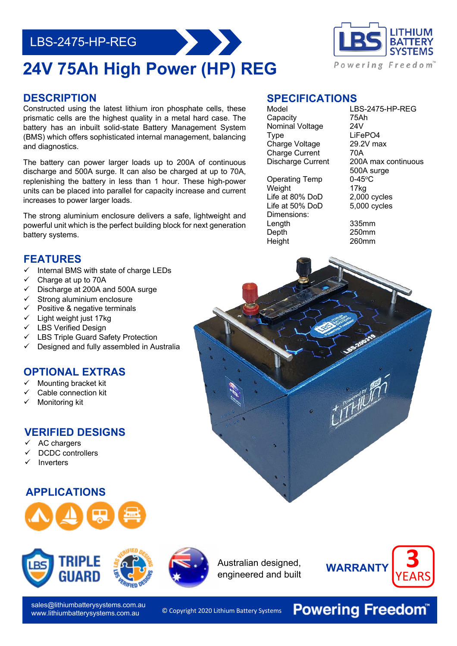# LBS-2475-HP-REG

# **24V 75Ah High Power (HP) REG**

#### **DESCRIPTION**

Constructed using the latest lithium iron phosphate cells, these prismatic cells are the highest quality in a metal hard case. The battery has an inbuilt solid-state Battery Management System (BMS) which offers sophisticated internal management, balancing and diagnostics.

The battery can power larger loads up to 200A of continuous discharge and 500A surge. It can also be charged at up to 70A, replenishing the battery in less than 1 hour. These high-power units can be placed into parallel for capacity increase and current increases to power larger loads.

 The strong aluminium enclosure delivers a safe, lightweight and powerful unit which is the perfect building block for next generation battery systems.

### **FEATURES**

- $\checkmark$  Internal BMS with state of charge LEDs
- Charge at up to 70A
- $\checkmark$  Discharge at 200A and 500A surge
- $\checkmark$  Strong aluminium enclosure
- Positive & negative terminals
- $\checkmark$  Light weight just 17kg
- LBS Verified Design
- LBS Triple Guard Safety Protection
- Designed and fully assembled in Australia

### **OPTIONAL EXTRAS**

- ü Mounting bracket kit
- Cable connection kit
- Monitoring kit

#### **VERIFIED DESIGNS**

- AC chargers
- DCDC controllers
- **Inverters**

### **APPLICATIONS**





sales@lithiumbatterysystems.com.au www.lithiumbatterysystems.com.au

Charge Voltage 29.2V max Charge Current 70A

Nominal Voltage

**SPECIFICATIONS**

Operating Temp 0-45°C Weight 17kg Life at 80% DoD 2,000 cycles Life at 50% DoD 5,000 cycles Dimensions:<br>Lenath Depth 250mm Height 260mm

## Model LBS-2475-HP-REG Capacity 75Ah<br>Nominal Voltage 24V Type LiFePO4 Discharge Current 200A max continuous 500A surge

335mm

Australian designed, engineered and built



© Copyright 2020 Lithium Battery Systems

**Powering Freedom®**